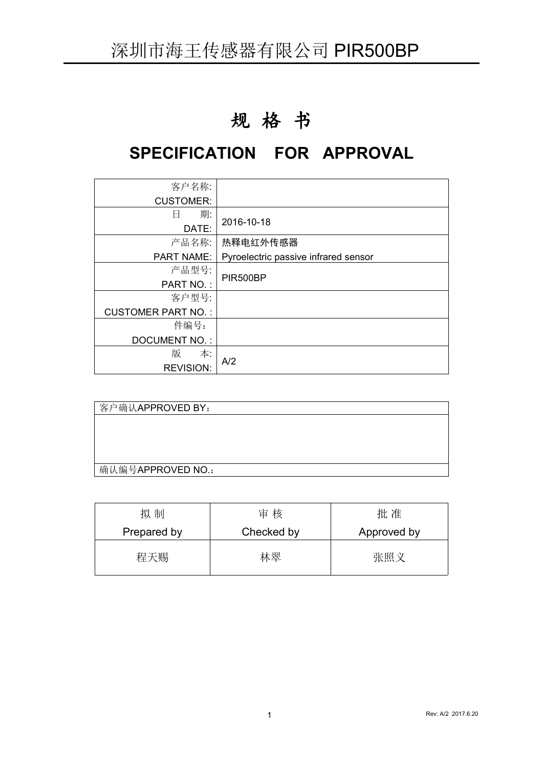# 规 格 书

# **SPECIFICATION FOR APPROVAL**

| 客户名称:                     |                                      |
|---------------------------|--------------------------------------|
| <b>CUSTOMER:</b>          |                                      |
| 期:<br>日                   |                                      |
| DATE:                     | 2016-10-18                           |
| 产品名称:                     | 热释电红外传感器                             |
| <b>PART NAME:</b>         | Pyroelectric passive infrared sensor |
| 产品型号:                     |                                      |
| PART NO.:                 | PIR500BP                             |
| 客户型号:                     |                                      |
| <b>CUSTOMER PART NO.:</b> |                                      |
| 件编号:                      |                                      |
| <b>DOCUMENT NO.:</b>      |                                      |
| 版<br>本:                   |                                      |
| <b>REVISION:</b>          | A/2                                  |

| 客户确认APPROVED BY:  |  |  |
|-------------------|--|--|
|                   |  |  |
|                   |  |  |
|                   |  |  |
|                   |  |  |
| 确认编号APPROVED NO.: |  |  |

| 拟制          | 审核         | 批准          |
|-------------|------------|-------------|
| Prepared by | Checked by | Approved by |
| 程天赐         | 林翠         | 张照义         |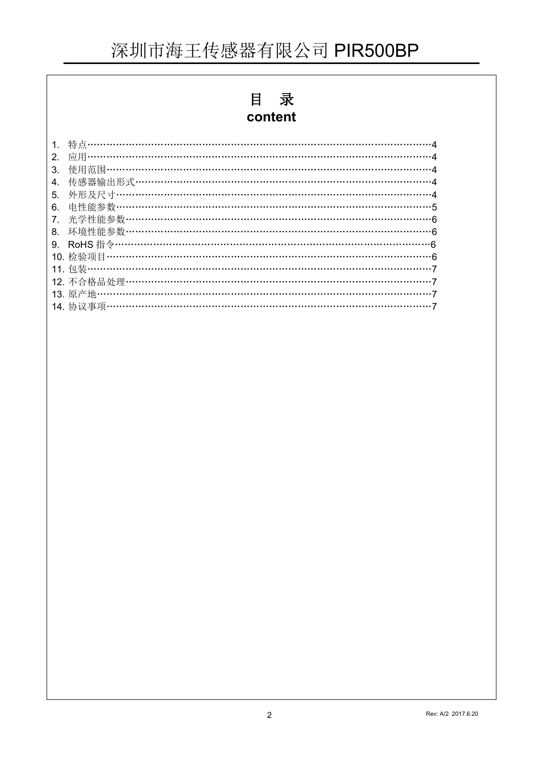# 目录

## content

| 2. |                                          |  |
|----|------------------------------------------|--|
| 3. |                                          |  |
| 4. | 传感器输出形式………………………………………………………………………………4   |  |
| 5. | 外形及尺寸………………………………………………………………………………………4  |  |
| 6. | 电性能参数…………………………………………………………………………………………5 |  |
| 7. | 光学性能参数………………………………………………………………………………………6 |  |
| 8. | 环境性能参数……………………………………………………………………………………6  |  |
| 9. |                                          |  |
|    |                                          |  |
|    |                                          |  |
|    |                                          |  |
|    |                                          |  |
|    |                                          |  |
|    |                                          |  |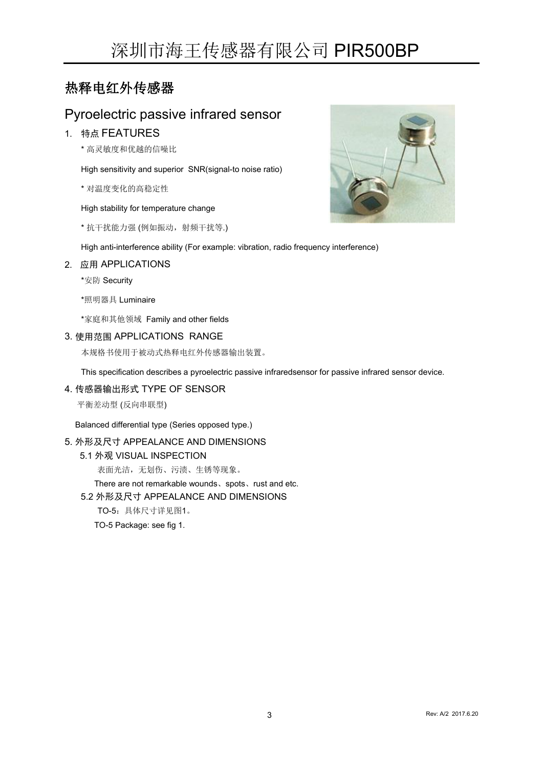## 热释电红外传感器

## Pyroelectric passive infrared sensor

### 1. 特点 FEATURES

\* 高灵敏度和优越的信噪比

High sensitivity and superior SNR(signal-to noise ratio)

\* 对温度变化的高稳定性

#### High stability for temperature change

\* 抗干扰能力强 (例如振动,射频干扰等.)



High anti-interference ability (For example: vibration, radio frequency interference)

### 2. 应用 APPLICATIONS

\*安防 Security

\*照明器具 Luminaire

\*家庭和其他领域 Family and other fields

### 3. 使用范围 APPLICATIONS RANGE

本规格书使用于被动式热释电红外传感器输出装置。

This specification describes a pyroelectric passive infraredsensor for passive infrared sensor device.

#### 4. 传感器输出形式 TYPE OF SENSOR

平衡差动型 (反向串联型)

Balanced differential type (Series opposed type.)

### 5. 外形及尺寸 APPEALANCE AND DIMENSIONS

5.1 外观 VISUAL INSPECTION

表面光洁,无划伤、污渍、生锈等现象。

There are not remarkable wounds、spots、rust and etc.

### 5.2 外形及尺寸 APPEALANCE AND DIMENSIONS

TO-5:具体尺寸详见图1。

TO-5 Package: see fig 1.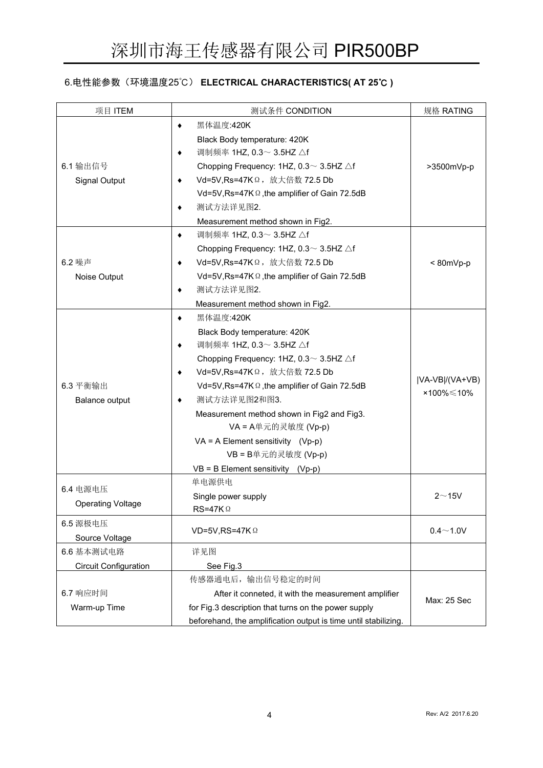### 6.电性能参数(环境温度25℃) **ELECTRICAL CHARACTERISTICS( AT 25**℃ **)**

| 项目 ITEM                      | 测试条件 CONDITION                                                  | 规格 RATING      |  |
|------------------------------|-----------------------------------------------------------------|----------------|--|
|                              | 黑体温度:420K<br>٠                                                  |                |  |
|                              | Black Body temperature: 420K                                    |                |  |
|                              | 调制频率 1HZ, 0.3∼ 3.5HZ △f<br>٠                                    |                |  |
| 6.1 输出信号                     | Chopping Frequency: 1HZ, $0.3 \sim 3.5$ HZ $\triangle f$        | >3500mVp-p     |  |
| Signal Output                | Vd=5V,Rs=47KΩ, 放大倍数 72.5 Db<br>٠                                |                |  |
|                              | Vd=5V, Rs=47K $\Omega$ , the amplifier of Gain 72.5dB           |                |  |
|                              | 测试方法详见图2.<br>٠                                                  |                |  |
|                              | Measurement method shown in Fig2.                               |                |  |
|                              | 调制频率 1HZ, 0.3 ~ 3.5HZ △f<br>۰                                   |                |  |
|                              | Chopping Frequency: 1HZ, $0.3 \sim 3.5$ HZ $\triangle f$        |                |  |
| 6.2 噪声                       | Vd=5V,Rs=47KΩ, 放大倍数 72.5 Db<br>٠                                | $< 80mVp-p$    |  |
| Noise Output                 | Vd=5V, Rs=47K $\Omega$ , the amplifier of Gain 72.5dB           |                |  |
|                              | 测试方法详见图2.<br>٠                                                  |                |  |
|                              | Measurement method shown in Fig2.                               |                |  |
|                              | 黑体温度:420K<br>٠                                                  |                |  |
|                              | Black Body temperature: 420K                                    |                |  |
|                              | 调制频率 1HZ, 0.3∼ 3.5HZ △f<br>٠                                    |                |  |
|                              | Chopping Frequency: 1HZ, $0.3 \sim 3.5$ HZ $\triangle f$        |                |  |
|                              | Vd=5V,Rs=47KΩ, 放大倍数 72.5 Db<br>٠                                |                |  |
| 6.3 平衡输出                     | Vd=5V, Rs=47K $\Omega$ , the amplifier of Gain 72.5dB           | VA-VB /(VA+VB) |  |
| Balance output               | 测试方法详见图2和图3.<br>٠                                               | ×100%≤10%      |  |
|                              | Measurement method shown in Fig2 and Fig3.                      |                |  |
|                              | VA = A单元的灵敏度 (Vp-p)                                             |                |  |
|                              | $VA = A Element$ sensitivity (Vp-p)                             |                |  |
|                              | VB = B单元的灵敏度 (Vp-p)                                             |                |  |
|                              | $VB = B$ Element sensitivity (Vp-p)                             |                |  |
| 6.4 电源电压                     | 单电源供电                                                           |                |  |
|                              | Single power supply                                             | 2~15V          |  |
| <b>Operating Voltage</b>     | $RS=47K\,\Omega$                                                |                |  |
| 6.5 源极电压                     | VD=5V,RS=47K $\Omega$                                           | $0.4 - 1.0V$   |  |
| Source Voltage               |                                                                 |                |  |
| 6.6 基本测试电路                   | 详见图                                                             |                |  |
| <b>Circuit Configuration</b> | See Fig.3                                                       |                |  |
|                              | 传感器通电后, 输出信号稳定的时间                                               |                |  |
| 6.7 响应时间                     | After it conneted, it with the measurement amplifier            |                |  |
| Warm-up Time                 | for Fig.3 description that turns on the power supply            | Max: 25 Sec    |  |
|                              | beforehand, the amplification output is time until stabilizing. |                |  |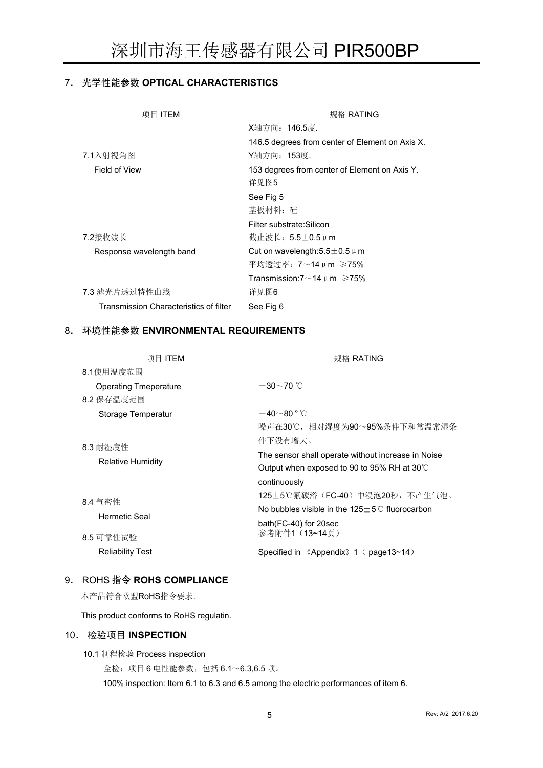### 7. 光学性能参数 **OPTICAL CHARACTERISTICS**

| 项目 ITEM                                | 规格 RATING                                       |
|----------------------------------------|-------------------------------------------------|
|                                        | X轴方向: 146.5度.                                   |
|                                        | 146.5 degrees from center of Element on Axis X. |
| 7.1入射视角图                               | Y轴方向: 153度.                                     |
| Field of View                          | 153 degrees from center of Element on Axis Y.   |
|                                        | 详见图5                                            |
|                                        | See Fig 5                                       |
|                                        | 基板材料: 硅                                         |
|                                        | Filter substrate: Silicon                       |
| 7.2接收波长                                | 截止波长: 5.5±0.5 µ m                               |
| Response wavelength band               | Cut on wavelength: $5.5 \pm 0.5 \mu$ m          |
|                                        | 平均透过率: 7~14μm ≥75%                              |
|                                        | Transmission: $7{\sim}14~\mu$ m $\geqslant75\%$ |
| 7.3 滤光片透过特性曲线                          | 详见图6                                            |
| Transmission Characteristics of filter | See Fig 6                                       |

### 8. 环境性能参数 **ENVIRONMENTAL REQUIREMENTS**

| 项目 ITEM                      | 规格 RATING                                                  |
|------------------------------|------------------------------------------------------------|
| 8.1使用温度范围                    |                                                            |
| <b>Operating Tmeperature</b> | $-30\sim$ 70 °C                                            |
| 8.2 保存温度范围                   |                                                            |
| Storage Temperatur           | $-40\negthinspace\negthinspace\negthinspace 80^{\circ}$ °C |
|                              | 噪声在30℃,相对湿度为90~95%条件下和常温常湿条                                |
| 8.3 耐湿度性                     | 件下没有增大。                                                    |
|                              | The sensor shall operate without increase in Noise         |
| <b>Relative Humidity</b>     | Output when exposed to 90 to 95% RH at 30°C                |
|                              | continuously                                               |
| 8.4 气密性                      | 125±5℃氟碳浴(FC-40)中浸泡20秒,不产生气泡。                              |
| Hermetic Seal                | No bubbles visible in the $125+5^{\circ}$ C fluorocarbon   |
|                              | bath(FC-40) for 20sec                                      |
| 8.5 可靠性试验                    | 参考附件1 (13~14页)                                             |
| <b>Reliability Test</b>      | Specified in 《Appendix》1 (page13~14)                       |

### 9. ROHS 指令 **ROHS COMPLIANCE**

本产品符合欧盟RoHS指令要求.

This product conforms to RoHS regulatin.

#### 10. 检验项目 **INSPECTION**

10.1 制程检验 Process inspection

全检:项目 6 电性能参数,包括 6.1~6.3,6.5 项。

100% inspection: Item 6.1 to 6.3 and 6.5 among the electric performances of item 6.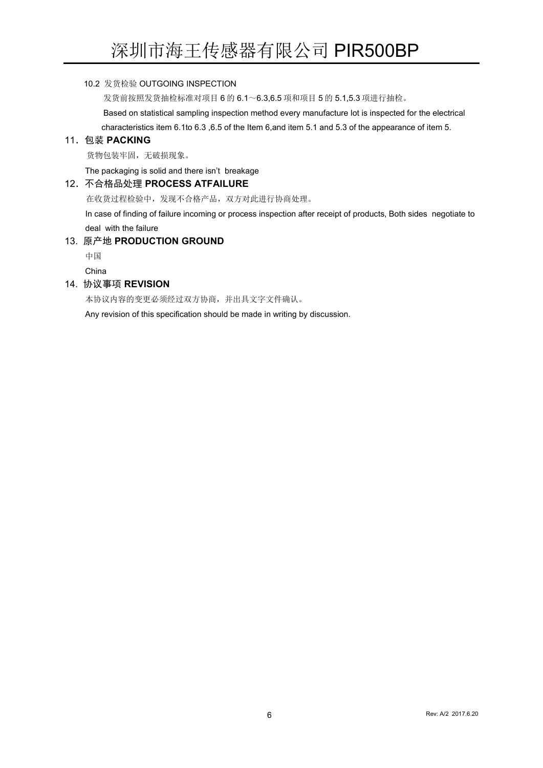### 10.2 发货检验 OUTGOING INSPECTION

发货前按照发货抽检标准对项目 6 的 6.1~6.3,6.5 项和项目 5 的 5.1,5.3 项进行抽检。

Based on statistical sampling inspection method every manufacture lot is inspected for the electrical

characteristics item 6.1to 6.3 ,6.5 of the Item 6,and item 5.1 and 5.3 of the appearance of item 5.

### 11.包装 **PACKING**

货物包装牢固,无破损现象。

The packaging is solid and there isn't breakage

### 12.不合格品处理 **PROCESS ATFAILURE**

在收货过程检验中,发现不合格产品,双方对此进行协商处理。

In case of finding of failure incoming or process inspection after receipt of products, Both sides negotiate to deal with the failure

### 13. 原产地 **PRODUCTION GROUND**

まんしゃ しゅうしょう しゅうしょう しんしゃ しゅうしょく しゅうしょく しゅうしょく

China

#### 14. 协议事项 **REVISION**

本协议内容的变更必须经过双方协商,并出具文字文件确认。

Any revision of this specification should be made in writing by discussion.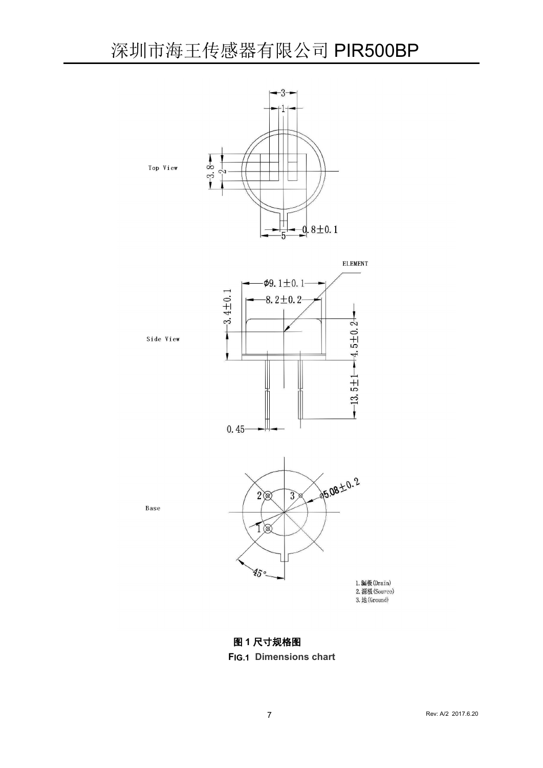

**ELEMENT** 



## 图 **1** 尺寸规格图

### **FIG.1 Dimensions chart**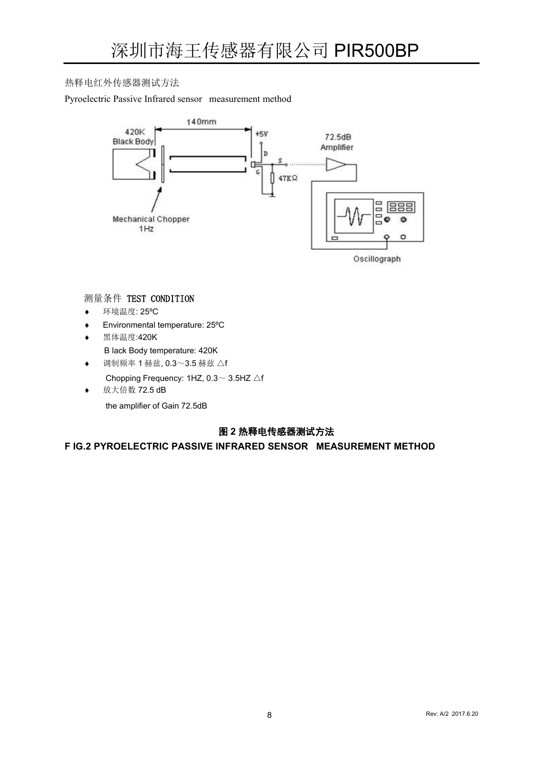### 热释电红外传感器测试方法

Pyroelectric Passive Infrared sensor measurement method



### 测量条件 TEST CONDITION

- 环境温度: 25ºC
- Environmental temperature: 25ºC
- 黑体温度:420K
	- B lack Body temperature: 420K
- 调制频率 1 赫兹, 0.3~3.5 赫兹 △f
- Chopping Frequency: 1HZ, 0.3~ 3.5HZ △f
- ◆ 放大倍数 72.5 dB the amplifier of Gain 72.5dB

### 图 **2** 热释电传感器测试方法

**F IG.2 PYROELECTRIC PASSIVE INFRARED SENSOR MEASUREMENT METHOD**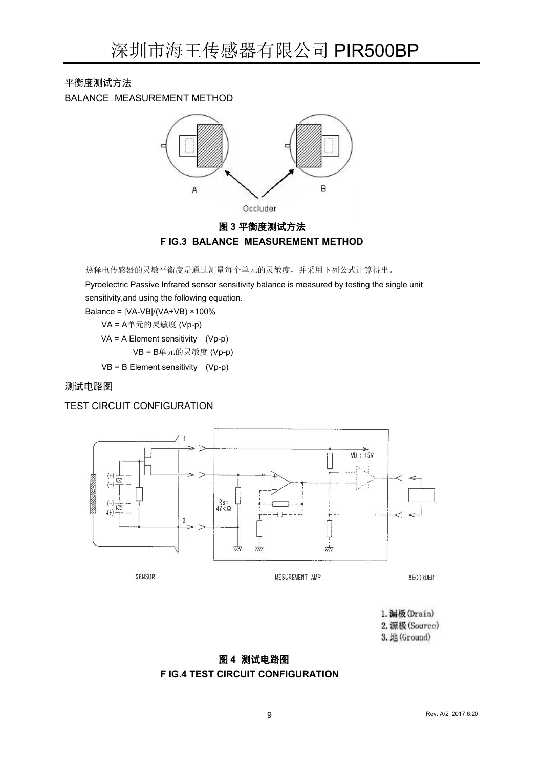平衡度测试方法

BALANCE MEASUREMENT METHOD



### 图 **3** 平衡度测试方法 **F IG.3 BALANCE MEASUREMENT METHOD**

热释电传感器的灵敏平衡度是通过测量每个单元的灵敏度,并采用下列公式计算得出。

Pyroelectric Passive Infrared sensor sensitivity balance is measured by testing the single unit sensitivity,and using the following equation.

Balance = |VA-VB|/(VA+VB) ×100%

VA = A单元的灵敏度 (Vp-p)

VA = A Element sensitivity (Vp-p)

VB = B单元的灵敏度 (Vp-p)

VB = B Element sensitivity (Vp-p)

测试电路图

### TEST CIRCUIT CONFIGURATION



1. 漏极 (Drain) 2. 源极 (Source) 3. 地(Ground)

### 图 **4** 测试电路图 **F IG.4 TEST CIRCUIT CONFIGURATION**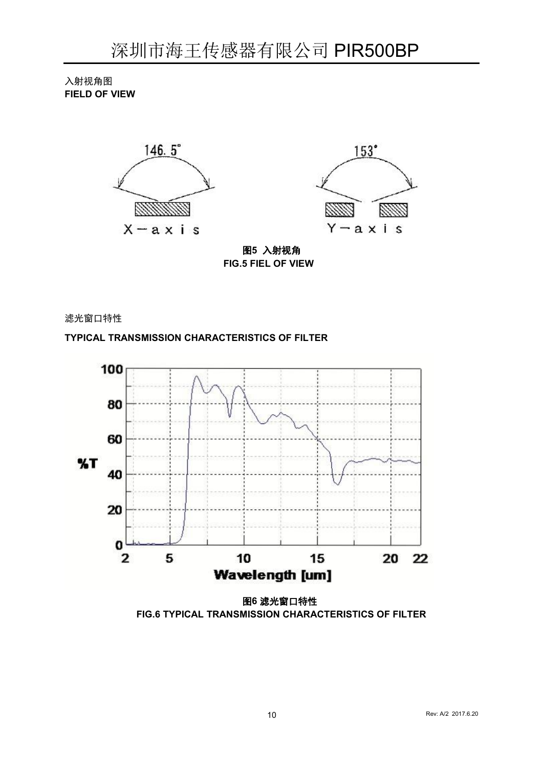入射视角图 **FIELD OF VIEW**





图**5** 入射视角 **FIG.5 FIEL OF VIEW**

滤光窗口特性

**TYPICAL TRANSMISSION CHARACTERISTICS OF FILTER**



图**6** 滤光窗口特性 **FIG.6 TYPICAL TRANSMISSION CHARACTERISTICS OF FILTER**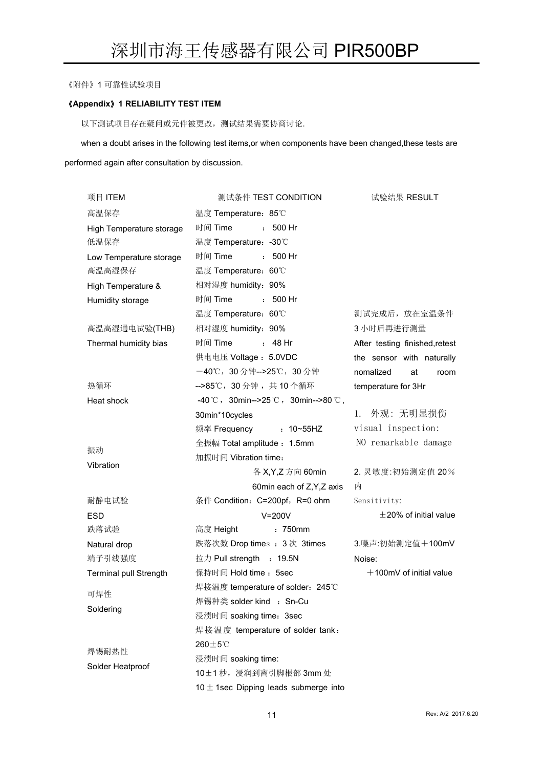《附件》1 可靠性试验项目

#### 《**Appendix**》**1 RELIABILITY TEST ITEM**

以下测试项目存在疑问或元件被更改,测试结果需要协商讨论.

when a doubt arises in the following test items, or when components have been changed, these tests are performed again after consultation by discussion.

| 项目 ITEM                  | 测试条件 TEST CONDITION                                         | 试验结果 RESULT                    |
|--------------------------|-------------------------------------------------------------|--------------------------------|
| 高温保存                     | 温度 Temperature: 85℃                                         |                                |
| High Temperature storage | 时间 Time<br>$: 500$ Hr                                       |                                |
| 低温保存                     | 温度 Temperature: -30℃                                        |                                |
| Low Temperature storage  | 时间 Time<br>$.500$ Hr                                        |                                |
| 高温高湿保存                   | 温度 Temperature: 60°C                                        |                                |
| High Temperature &       | 相对湿度 humidity: 90%                                          |                                |
| Humidity storage         | 时间 Time<br>$.500$ Hr                                        |                                |
|                          | 温度 Temperature: 60℃                                         | 测试完成后, 放在室温条件                  |
| 高温高湿通电试验(THB)            | 相对湿度 humidity: 90%                                          | 3 小时后再进行测量                     |
| Thermal humidity bias    | 时间 Time<br>: 48 Hr                                          | After testing finished, retest |
|                          | 供电电压 Voltage: 5.0VDC                                        | the sensor with naturally      |
|                          | -40℃, 30分钟-->25℃, 30分钟                                      | nomalized<br>at<br>room        |
| 热循环                      | -->85℃, 30分钟, 共10个循环                                        | temperature for 3Hr            |
| Heat shock               | $-40^{\circ}$ C, 30min-->25 °C, 30min-->80 °C,              |                                |
|                          | 30min*10cycles                                              | 1. 外观:无明显损伤                    |
|                          | $: 10 - 55$ HZ<br>频率 Frequency                              | visual inspection:             |
| 振动                       | 全振幅 Total amplitude: 1.5mm                                  | NO remarkable damage           |
| Vibration                | 加振时间 Vibration time:                                        |                                |
|                          | 各 X, Y, Z 方向 60min                                          | 2. 灵敏度:初始测定值 20%               |
|                          | 60min each of Z, Y, Z axis                                  | 内                              |
| 耐静电试验                    | 条件 Condition: C=200pf, R=0 ohm                              | Sensitivity:                   |
| <b>ESD</b>               | $V = 200V$                                                  | $\pm$ 20% of initial value     |
| 跌落试验                     | : 750mm<br>高度 Height                                        |                                |
| Natural drop             | 跌落次数 Drop times: 3次 3times                                  | 3.噪声:初始测定值+100mV               |
| 端子引线强度                   | 拉力 Pull strength : 19.5N                                    | Noise:                         |
| Terminal pull Strength   | 保持时间 Hold time: 5sec                                        | $+100$ mV of initial value     |
| 可焊性                      | 焊接温度 temperature of solder: 245℃                            |                                |
| Soldering                | 焊锡种类 solder kind : Sn-Cu                                    |                                |
|                          | 浸渍时间 soaking time: 3sec<br>焊接温度 temperature of solder tank: |                                |
|                          | $260\pm5\degree$ C                                          |                                |
| 焊锡耐热性                    | 浸渍时间 soaking time:                                          |                                |
| Solder Heatproof         | 10±1秒, 浸润到离引脚根部 3mm 处                                       |                                |
|                          | 10 $\pm$ 1sec Dipping leads submerge into                   |                                |
|                          |                                                             |                                |